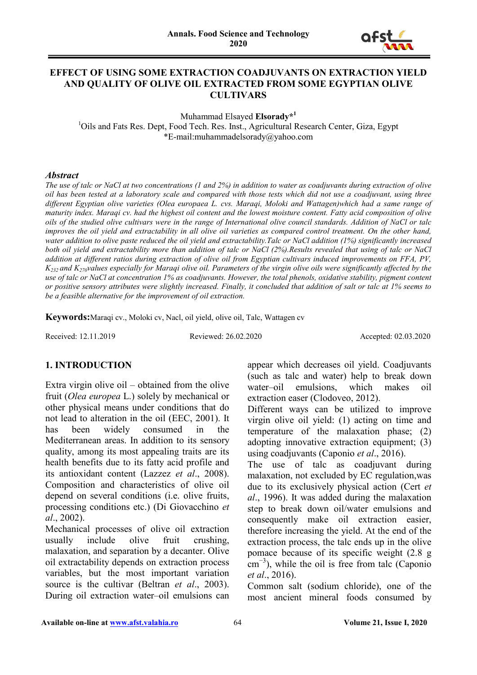

#### **EFFECT OF USING SOME EXTRACTION COADJUVANTS ON EXTRACTION YIELD AND QUALITY OF OLIVE OIL EXTRACTED FROM SOME EGYPTIAN OLIVE CULTIVARS**

Muhammad Elsayed **Elsorady\*<sup>1</sup>** <sup>1</sup>Oils and Fats Res. Dept, Food Tech. Res. Inst., Agricultural Research Center, Giza, Egypt \*E-mail:muhammadelsorady@yahoo.com

#### *Abstract*

*The use of talc or NaCl at two concentrations (1 and 2%) in addition to water as coadjuvants during extraction of olive oil has been tested at a laboratory scale and compared with those tests which did not use a coadjuvant, using three different Egyptian olive varieties (Olea europaea L. cvs. Maraqi, Moloki and Wattagen)which had a same range of maturity index. Maraqi cv. had the highest oil content and the lowest moisture content. Fatty acid composition of olive oils of the studied olive cultivars were in the range of International olive council standards. Addition of NaCl or talc improves the oil yield and extractability in all olive oil varieties as compared control treatment. On the other hand, water addition to olive paste reduced the oil yield and extractability.Talc or NaCl addition (1%) significantly increased both oil yield and extractability more than addition of talc or NaCl (2%).Results revealed that using of talc or NaCl addition at different ratios during extraction of olive oil from Egyptian cultivars induced improvements on FFA, PV, K232 and K270values especially for Maraqi olive oil. Parameters of the virgin olive oils were significantly affected by the use of talc or NaCl at concentration 1% as coadjuvants. However, the total phenols, oxidative stability, pigment content or positive sensory attributes were slightly increased. Finally, it concluded that addition of salt or talc at 1% seems to be a feasible alternative for the improvement of oil extraction.* 

**Keywords:**Maraqi cv., Moloki cv, Nacl, oil yield, olive oil, Talc, Wattagen cv

Received: 12.11.2019 Reviewed: 26.02.2020 Accepted: 02.03.2020

#### **1. INTRODUCTION**

Extra virgin olive oil – obtained from the olive fruit (*Olea europea* L.) solely by mechanical or other physical means under conditions that do not lead to alteration in the oil (EEC, 2001). It has been widely consumed in the Mediterranean areas. In addition to its sensory quality, among its most appealing traits are its health benefits due to its fatty acid profile and its antioxidant content (Lazzez *et al*., 2008). Composition and characteristics of olive oil depend on several conditions (i.e. olive fruits, processing conditions etc.) (Di Giovacchino *et al*., 2002).

Mechanical processes of olive oil extraction usually include olive fruit crushing, malaxation, and separation by a decanter. Olive oil extractability depends on extraction process variables, but the most important variation source is the cultivar (Beltran *et al*., 2003). During oil extraction water–oil emulsions can

appear which decreases oil yield. Coadjuvants (such as talc and water) help to break down water–oil emulsions, which makes oil extraction easer (Clodoveo, 2012).

Different ways can be utilized to improve virgin olive oil yield: (1) acting on time and temperature of the malaxation phase; (2) adopting innovative extraction equipment; (3) using coadjuvants (Caponio *et al*., 2016).

The use of talc as coadjuvant during malaxation, not excluded by EC regulation,was due to its exclusively physical action (Cert *et al*., 1996). It was added during the malaxation step to break down oil/water emulsions and consequently make oil extraction easier, therefore increasing the yield. At the end of the extraction process, the talc ends up in the olive pomace because of its specific weight (2.8 g cm<sup>-3</sup>), while the oil is free from talc (Caponio *et al*., 2016).

Common salt (sodium chloride), one of the most ancient mineral foods consumed by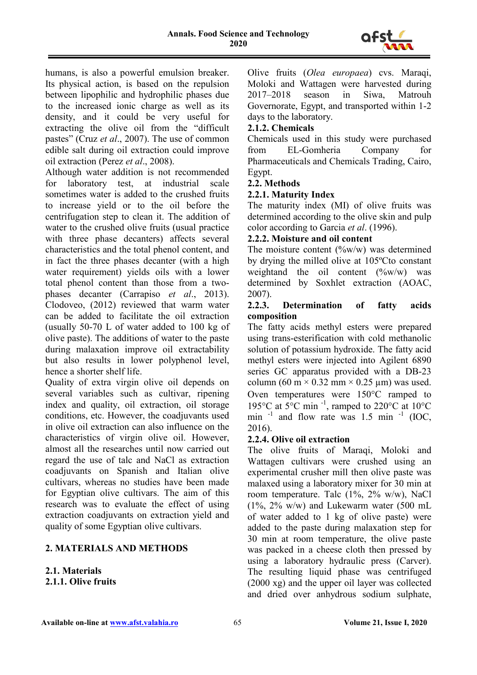

humans, is also a powerful emulsion breaker. Its physical action, is based on the repulsion between lipophilic and hydrophilic phases due to the increased ionic charge as well as its density, and it could be very useful for extracting the olive oil from the "difficult pastes" (Cruz *et al*., 2007). The use of common edible salt during oil extraction could improve oil extraction (Perez *et al*., 2008).

Although water addition is not recommended for laboratory test, at industrial scale sometimes water is added to the crushed fruits to increase yield or to the oil before the centrifugation step to clean it. The addition of water to the crushed olive fruits (usual practice with three phase decanters) affects several characteristics and the total phenol content, and in fact the three phases decanter (with a high water requirement) yields oils with a lower total phenol content than those from a twophases decanter (Carrapiso *et al*., 2013). Clodoveo, (2012) reviewed that warm water can be added to facilitate the oil extraction (usually 50-70 L of water added to 100 kg of olive paste). The additions of water to the paste during malaxation improve oil extractability but also results in lower polyphenol level, hence a shorter shelf life.

Quality of extra virgin olive oil depends on several variables such as cultivar, ripening index and quality, oil extraction, oil storage conditions, etc. However, the coadjuvants used in olive oil extraction can also influence on the characteristics of virgin olive oil. However, almost all the researches until now carried out regard the use of talc and NaCl as extraction coadjuvants on Spanish and Italian olive cultivars, whereas no studies have been made for Egyptian olive cultivars. The aim of this research was to evaluate the effect of using extraction coadjuvants on extraction yield and quality of some Egyptian olive cultivars.

# **2. MATERIALS AND METHODS**

#### **2.1. Materials 2.1.1. Olive fruits**

Olive fruits (*Olea europaea*) cvs. Maraqi, Moloki and Wattagen were harvested during 2017–2018 season in Siwa, Matrouh Governorate, Egypt, and transported within 1-2 days to the laboratory.

### **2.1.2. Chemicals**

Chemicals used in this study were purchased from EL-Gomheria Company for Pharmaceuticals and Chemicals Trading, Cairo, Egypt.

# **2.2. Methods**

### **2.2.1. Maturity Index**

The maturity index (MI) of olive fruits was determined according to the olive skin and pulp color according to Garcia *et al*. (1996).

### **2.2.2. Moisture and oil content**

The moisture content  $(^{\circ}\!\!/\omega w/w)$  was determined by drying the milled olive at 105ºCto constant weightand the oil content  $(\%w/w)$  was determined by Soxhlet extraction (AOAC, 2007).

#### **2.2.3. Determination of fatty acids composition**

The fatty acids methyl esters were prepared using trans-esterification with cold methanolic solution of potassium hydroxide. The fatty acid methyl esters were injected into Agilent 6890 series GC apparatus provided with a DB-23 column (60 m  $\times$  0.32 mm  $\times$  0.25 µm) was used. Oven temperatures were 150°C ramped to 195°C at 5°C min<sup>-1</sup>, ramped to 220°C at 10°C min  $^{-1}$  and flow rate was 1.5 min  $^{-1}$  (IOC, 2016).

# **2.2.4. Olive oil extraction**

The olive fruits of Maraqi, Moloki and Wattagen cultivars were crushed using an experimental crusher mill then olive paste was malaxed using a laboratory mixer for 30 min at room temperature. Talc (1%, 2% w/w), NaCl  $(1\%, 2\% \text{ w/w})$  and Lukewarm water  $(500 \text{ mL})$ of water added to 1 kg of olive paste) were added to the paste during malaxation step for 30 min at room temperature, the olive paste was packed in a cheese cloth then pressed by using a laboratory hydraulic press (Carver). The resulting liquid phase was centrifuged (2000 xg) and the upper oil layer was collected and dried over anhydrous sodium sulphate,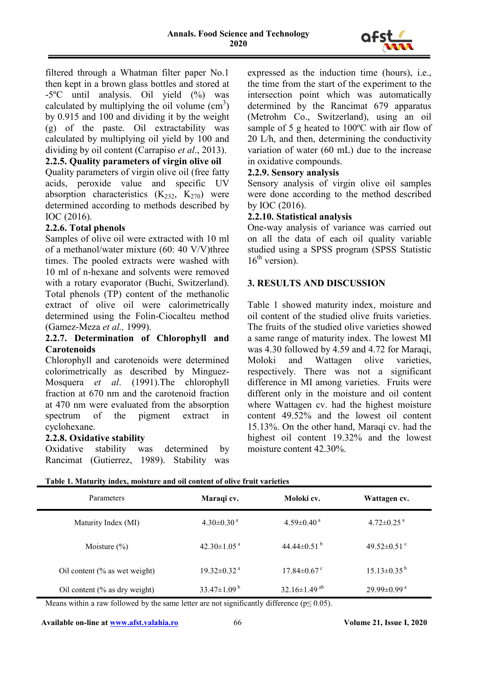

filtered through a Whatman filter paper No.1 then kept in a brown glass bottles and stored at -5ºC until analysis. Oil yield (%) was calculated by multiplying the oil volume  $(cm<sup>3</sup>)$ by 0.915 and 100 and dividing it by the weight (g) of the paste. Oil extractability was calculated by multiplying oil yield by 100 and dividing by oil content (Carrapiso *et al*., 2013).

### **2.2.5. Quality parameters of virgin olive oil**

Quality parameters of virgin olive oil (free fatty acids, peroxide value and specific UV absorption characteristics  $(K_{232}, K_{270})$  were determined according to methods described by IOC (2016).

# **2.2.6. Total phenols**

Samples of olive oil were extracted with 10 ml of a methanol/water mixture (60: 40 V/V)three times. The pooled extracts were washed with 10 ml of n-hexane and solvents were removed with a rotary evaporator (Buchi, Switzerland). Total phenols (TP) content of the methanolic extract of olive oil were calorimetrically determined using the Folin-Ciocalteu method (Gamez-Meza *et al.,* 1999).

#### **2.2.7. Determination of Chlorophyll and Carotenoids**

Chlorophyll and carotenoids were determined colorimetrically as described by Minguez-Mosquera *et al*. (1991).The chlorophyll fraction at 670 nm and the carotenoid fraction at 470 nm were evaluated from the absorption spectrum of the pigment extract in cyclohexane.

#### **2.2.8. Oxidative stability**

Oxidative stability was determined by Rancimat (Gutierrez, 1989). Stability was expressed as the induction time (hours), i.e., the time from the start of the experiment to the intersection point which was automatically determined by the Rancimat 679 apparatus (Metrohm Co., Switzerland), using an oil sample of 5 g heated to 100ºC with air flow of 20 L/h, and then, determining the conductivity variation of water (60 mL) due to the increase in oxidative compounds.

#### **2.2.9. Sensory analysis**

Sensory analysis of virgin olive oil samples were done according to the method described by IOC (2016).

### **2.2.10. Statistical analysis**

One-way analysis of variance was carried out on all the data of each oil quality variable studied using a SPSS program (SPSS Statistic  $16<sup>th</sup>$  version).

### **3. RESULTS AND DISCUSSION**

Table 1 showed maturity index, moisture and oil content of the studied olive fruits varieties. The fruits of the studied olive varieties showed a same range of maturity index. The lowest MI was 4.30 followed by 4.59 and 4.72 for Maraqi, Moloki and Wattagen olive varieties, respectively. There was not a significant difference in MI among varieties. Fruits were different only in the moisture and oil content where Wattagen cv. had the highest moisture content 49.52% and the lowest oil content 15.13%. On the other hand, Maraqi cv. had the highest oil content 19.32% and the lowest moisture content 42.30%.

| Parameters                    | Maraqi cv.                    | Moloki cv.                     | Wattagen cv.                  |
|-------------------------------|-------------------------------|--------------------------------|-------------------------------|
| Maturity Index (MI)           | $4.30 \pm 0.30$ <sup>a</sup>  | $4.59 \pm 0.40^{\text{ a}}$    | $4.72 \pm 0.25$ <sup>a</sup>  |
| Moisture $(\% )$              | $42.30 \pm 1.05$ <sup>a</sup> | 44.44 $\pm$ 0.51 $^{\rm b}$    | 49.52 $\pm$ 0.51 $\degree$    |
| Oil content (% as wet weight) | $19.32 \pm 0.32$ <sup>a</sup> | $17.84 \pm 0.67$ °             | $15.13 \pm 0.35^{\mathrm{b}}$ |
| Oil content (% as dry weight) | 33.47 $\pm$ 1.09 <sup>b</sup> | $32.16 \pm 1.49$ <sup>ab</sup> | $29.99 \pm 0.99$ <sup>a</sup> |

**Table 1. Maturity index, moisture and oil content of olive fruit varieties**

Means within a raw followed by the same letter are not significantly difference ( $p \le 0.05$ ).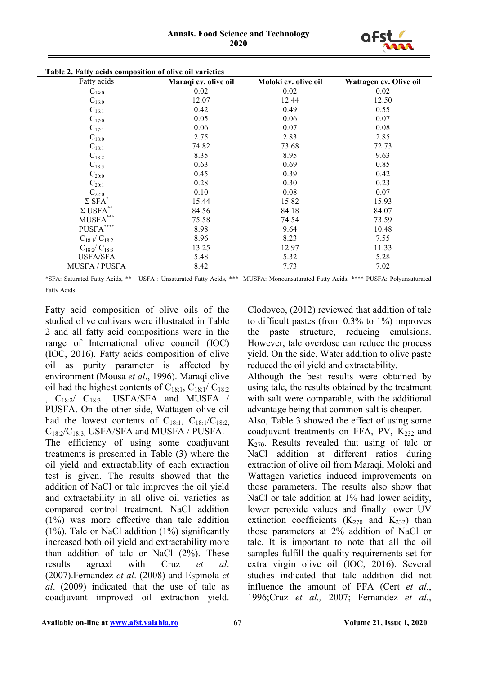

| Table 2. Fatty acids composition of olive oil varieties |                      |                      |                        |  |  |  |
|---------------------------------------------------------|----------------------|----------------------|------------------------|--|--|--|
| Fatty acids                                             | Maraqi cv. olive oil | Moloki cv. olive oil | Wattagen cv. Olive oil |  |  |  |
| $C_{14:0}$                                              | 0.02                 | 0.02                 | 0.02                   |  |  |  |
| $C_{16:0}$                                              | 12.07                | 12.44                | 12.50                  |  |  |  |
| $C_{16:1}$                                              | 0.42                 | 0.49                 | 0.55                   |  |  |  |
| $C_{17:0}$                                              | 0.05                 | 0.06                 | 0.07                   |  |  |  |
| $C_{17:1}$                                              | 0.06                 | 0.07                 | 0.08                   |  |  |  |
| $C_{18:0}$                                              | 2.75                 | 2.83                 | 2.85                   |  |  |  |
| $C_{18:1}$                                              | 74.82                | 73.68                | 72.73                  |  |  |  |
| $C_{18:2}$                                              | 8.35                 | 8.95                 | 9.63                   |  |  |  |
| $C_{18:3}$                                              | 0.63                 | 0.69                 | 0.85                   |  |  |  |
| $C_{20:0}$                                              | 0.45                 | 0.39                 | 0.42                   |  |  |  |
| $C_{20:1}$                                              | 0.28                 | 0.30                 | 0.23                   |  |  |  |
| $\text{C}_{22:0}$ $_{*}$                                | 0.10                 | 0.08                 | 0.07                   |  |  |  |
| $\Sigma$ SFA                                            | 15.44                | 15.82                | 15.93                  |  |  |  |
| $\Sigma$ USFA $^{**}$                                   | 84.56                | 84.18                | 84.07                  |  |  |  |
| MUSFA***                                                | 75.58                | 74.54                | 73.59                  |  |  |  |
| $\operatorname{PUSFA}^{***}$                            | 8.98                 | 9.64                 | 10.48                  |  |  |  |
| $C_{18:1}/ C_{18:2}$                                    | 8.96                 | 8.23                 | 7.55                   |  |  |  |
| $C_{18:2}/C_{18:3}$                                     | 13.25                | 12.97                | 11.33                  |  |  |  |
| <b>USFA/SFA</b>                                         | 5.48                 | 5.32                 | 5.28                   |  |  |  |
| <b>MUSFA / PUSFA</b>                                    | 8.42                 | 7.73                 | 7.02                   |  |  |  |

**Table 2. Fatty acids composition of olive oil varieties**

\*SFA: Saturated Fatty Acids, \*\* USFA : Unsaturated Fatty Acids, \*\*\* MUSFA: Monounsaturated Fatty Acids, \*\*\*\* PUSFA: Polyunsaturated Fatty Acids.

Fatty acid composition of olive oils of the studied olive cultivars were illustrated in Table 2 and all fatty acid compositions were in the range of International olive council (IOC) (IOC, 2016). Fatty acids composition of olive oil as purity parameter is affected by environment (Mousa *et al*., 1996). Maraqi olive oil had the highest contents of  $C_{18:1}$ ,  $C_{18:1}/ C_{18:2}$ ,  $C_{18:2}$   $C_{18:3}$  USFA/SFA and MUSFA / PUSFA. On the other side, Wattagen olive oil had the lowest contents of  $C_{18:1}$ ,  $C_{18:1}/C_{18:2}$ ,  $C_{18:2}/C_{18:3}$ , USFA/SFA and MUSFA / PUSFA. The efficiency of using some coadjuvant treatments is presented in Table (3) where the oil yield and extractability of each extraction test is given. The results showed that the addition of NaCl or talc improves the oil yield and extractability in all olive oil varieties as compared control treatment. NaCl addition (1%) was more effective than talc addition (1%). Talc or NaCl addition (1%) significantly increased both oil yield and extractability more than addition of talc or NaCl (2%). These results agreed with Cruz *et al*. (2007).Fernandez *et al*. (2008) and Espınola *et al*. (2009) indicated that the use of talc as coadjuvant improved oil extraction yield.

Clodoveo, (2012) reviewed that addition of talc to difficult pastes (from 0.3% to 1%) improves the paste structure, reducing emulsions. However, talc overdose can reduce the process yield. On the side, Water addition to olive paste reduced the oil yield and extractability.

Although the best results were obtained by using talc, the results obtained by the treatment with salt were comparable, with the additional advantage being that common salt is cheaper.

Also, Table 3 showed the effect of using some coadjuvant treatments on FFA, PV,  $K_{232}$  and  $K_{270}$ . Results revealed that using of talc or NaCl addition at different ratios during extraction of olive oil from Maraqi, Moloki and Wattagen varieties induced improvements on those parameters. The results also show that NaCl or talc addition at 1% had lower acidity, lower peroxide values and finally lower UV extinction coefficients  $(K_{270}$  and  $K_{232})$  than those parameters at 2% addition of NaCl or talc. It is important to note that all the oil samples fulfill the quality requirements set for extra virgin olive oil (IOC, 2016). Several studies indicated that talc addition did not influence the amount of FFA (Cert *et al.*, 1996;Cruz *et al.,* 2007; Fernandez *et al.*,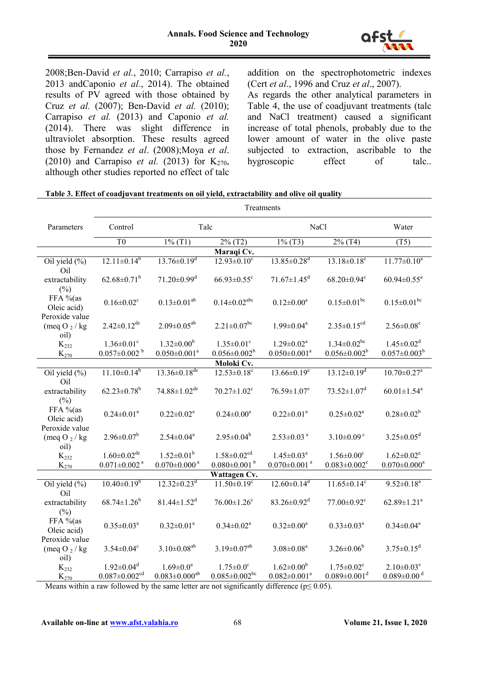

2008;Ben-David *et al.*, 2010; Carrapiso *et al.*, 2013 andCaponio *et al.*, 2014). The obtained results of PV agreed with those obtained by Cruz *et al.* (2007); Ben-David *et al.* (2010); Carrapiso *et al.* (2013) and Caponio *et al.* (2014). There was slight difference in ultraviolet absorption. These results agreed those by Fernandez *et al*. (2008);Moya *et al*. (2010) and Carrapiso *et al.* (2013) for  $K_{270}$ , although other studies reported no effect of talc addition on the spectrophotometric indexes (Cert *et al*., 1996 and Cruz *et al*., 2007).

As regards the other analytical parameters in Table 4, the use of coadjuvant treatments (talc and NaCl treatment) caused a significant increase of total phenols, probably due to the lower amount of water in the olive paste subjected to extraction, ascribable to the hygroscopic effect of talc..

| Table 3. Effect of coadjuvant treatments on oil yield, extractability and olive oil quality |  |
|---------------------------------------------------------------------------------------------|--|
| <b>Treatments</b>                                                                           |  |
|                                                                                             |  |

| Parameters                         | Control                           | Talc                           |                                | NaCl                           |                                | Water                          |
|------------------------------------|-----------------------------------|--------------------------------|--------------------------------|--------------------------------|--------------------------------|--------------------------------|
|                                    | T <sub>0</sub>                    | $1\%$ (T1)                     | $2\%$ (T2)                     | $1\%$ (T3)                     | $2\%$ (T4)                     | (T5)                           |
|                                    |                                   |                                | Maraqi Cv.                     |                                |                                |                                |
| Oil yield (%)                      | $12.11 \pm 0.14^b$                | $13.76 \pm 0.19$ <sup>d</sup>  | $12.93 \pm 0.10^{\circ}$       | $13.85 \pm 0.28$ <sup>d</sup>  | $13.18 \pm 0.18$ <sup>c</sup>  | $11.77 \pm 0.10^a$             |
| Oil                                |                                   |                                |                                |                                |                                |                                |
| extractability<br>$(\%)$           | $62.68 \pm 0.71^b$                | $71.20 \pm 0.99$ <sup>d</sup>  | $66.93 \pm 0.55$ <sup>c</sup>  | $71.67 \pm 1.45$ <sup>d</sup>  | $68.20 \pm 0.94$ <sup>c</sup>  | $60.94 \pm 0.55^a$             |
| FFA %(as                           | $0.16 \pm 0.02$ <sup>c</sup>      | $0.13 \pm 0.01^{ab}$           | $0.14 \pm 0.02$ <sup>abc</sup> | $0.12 \pm 0.00^a$              | $0.15 \pm 0.01$ <sup>bc</sup>  | $0.15 \pm 0.01$ bc             |
| Oleic acid)                        |                                   |                                |                                |                                |                                |                                |
| Peroxide value                     |                                   |                                |                                |                                |                                |                                |
| (meq O $_2$ / kg<br>oil)           | $2.42 \pm 0.12$ <sup>de</sup>     | $2.09 \pm 0.05^{ab}$           | $2.21 \pm 0.07$ <sup>bc</sup>  | $1.99 \pm 0.04^a$              | $2.35 \pm 0.15$ <sup>cd</sup>  | $2.56 \pm 0.08$ <sup>e</sup>   |
| $K_{232}$                          | $1.36 \pm 0.01$ <sup>c</sup>      | $1.32 \pm 0.00^b$              | $1.35 \pm 0.01$ <sup>c</sup>   | $1.29 \pm 0.02^a$              | $1.34 \pm 0.02$ <sup>bc</sup>  | $1.45 \pm 0.02$ <sup>d</sup>   |
| $K_{270}$                          | $0.057 \pm 0.002$ $^{\mathrm{b}}$ | $0.050 \pm 0.001^a$            | $0.056 \pm 0.002^b$            | $0.050 \pm 0.001^a$            | $0.056 \pm 0.002^b$            | $0.057 \pm 0.003^b$            |
|                                    |                                   |                                | Moloki Cv.                     |                                |                                |                                |
| Oil yield (%)                      | $11.10 \pm 0.14^b$                | $13.36 \pm 0.18$ <sup>de</sup> | $12.53 \pm 0.18$ <sup>c</sup>  | $13.66 \pm 0.19^e$             | $13.12 \pm 0.19^d$             | $10.70 \pm 0.27$ <sup>a</sup>  |
| Oil<br>extractability              | $62.23 \pm 0.78$ <sup>b</sup>     | $74.88 \pm 1.02$ <sup>de</sup> | $70.27 \pm 1.02$ <sup>c</sup>  | $76.59 \pm 1.07$ <sup>e</sup>  | $73.52 \pm 1.07$ <sup>d</sup>  | $60.01 \pm 1.54$ <sup>a</sup>  |
| $(\%)$                             |                                   |                                |                                |                                |                                |                                |
| FFA %(as                           | $0.24 \pm 0.01^a$                 | $0.22 \pm 0.02^a$              | $0.24 \pm 0.00^a$              | $0.22 \pm 0.01^a$              | $0.25 \pm 0.02^a$              | $0.28 \pm 0.02^b$              |
| Oleic acid)                        |                                   |                                |                                |                                |                                |                                |
| Peroxide value<br>(meq O $_2$ / kg | $2.96 \pm 0.07^b$                 | $2.54 \pm 0.04^a$              | $2.95 \pm 0.04^b$              | $2.53 \pm 0.03$ <sup>a</sup>   | $3.10\pm0.09$ <sup>c</sup>     | $3.25 \pm 0.05$ <sup>d</sup>   |
| oil)                               |                                   |                                |                                |                                |                                |                                |
| $K_{232}$                          | $1.60 \pm 0.02$ <sup>de</sup>     | $1.52 \pm 0.01^b$              | $1.58 \pm 0.02$ <sup>cd</sup>  | $1.45 \pm 0.03^a$              | $1.56 \pm 0.00$ <sup>c</sup>   | $1.62 \pm 0.02$ <sup>e</sup>   |
| $K_{270}$                          | $0.071 \pm 0.002$ <sup>a</sup>    | $0.070 \pm 0.000$ <sup>a</sup> | $0.080 \pm 0.001$ <sup>b</sup> | $0.070 \pm 0.001$ <sup>a</sup> | $0.083 \pm 0.002$ <sup>c</sup> | $0.070 \pm 0.000$ <sup>a</sup> |
|                                    |                                   |                                | Wattagen Cv.                   |                                |                                |                                |
| Oil yield (%)                      | $10.40 \pm 0.19^b$                | $12.32 \pm 0.23$ <sup>d</sup>  | $11.50 \pm 0.19$ <sup>c</sup>  | $12.60 \pm 0.14$ <sup>d</sup>  | $11.65 \pm 0.14$ <sup>c</sup>  | $9.52 \pm 0.18^a$              |
| Oil                                |                                   |                                |                                |                                |                                |                                |
| extractability<br>(%)              | $68.74 \pm 1.26^b$                | $81.44 \pm 1.52$ <sup>d</sup>  | $76.00 \pm 1.26$ <sup>c</sup>  | $83.26 \pm 0.92$ <sup>d</sup>  | $77.00 \pm 0.92$ <sup>c</sup>  | $62.89 \pm 1.21^a$             |
| FFA %(as                           |                                   |                                |                                |                                |                                |                                |
| Oleic acid)                        | $0.35 \pm 0.03^a$                 | $0.32 \pm 0.01^a$              | $0.34 \pm 0.02^a$              | $0.32 \pm 0.00^a$              | $0.33 \pm 0.03^a$              | $0.34 \pm 0.04^a$              |
| Peroxide value                     |                                   |                                |                                |                                |                                |                                |
| (meq O $_2$ / kg                   | $3.54 \pm 0.04$ <sup>c</sup>      | $3.10\pm0.08^{ab}$             | $3.19 \pm 0.07^{ab}$           | $3.08 \pm 0.08$ <sup>a</sup>   | $3.26 \pm 0.06^b$              | $3.75 \pm 0.15^d$              |
| oil)                               |                                   |                                |                                |                                |                                |                                |
| $K_{232}$                          | $1.92 \pm 0.04$ <sup>d</sup>      | $1.69 \pm 0.0^a$               | $1.75 \pm 0.0^{\circ}$         | $1.62 \pm 0.00^b$              | $1.75 \pm 0.02$ <sup>c</sup>   | $2.10 \pm 0.03$ <sup>e</sup>   |
| $K_{270}$                          | $0.087 \pm 0.002^{cd}$            | $0.083 \pm 0.000^{ab}$         | $0.085 \pm 0.002$ bc           | $0.082 \pm 0.001^a$            | $0.089 \pm 0.001$ <sup>d</sup> | $0.089 \pm 0.00$ <sup>d</sup>  |

Means within a raw followed by the same letter are not significantly difference ( $p \le 0.05$ ).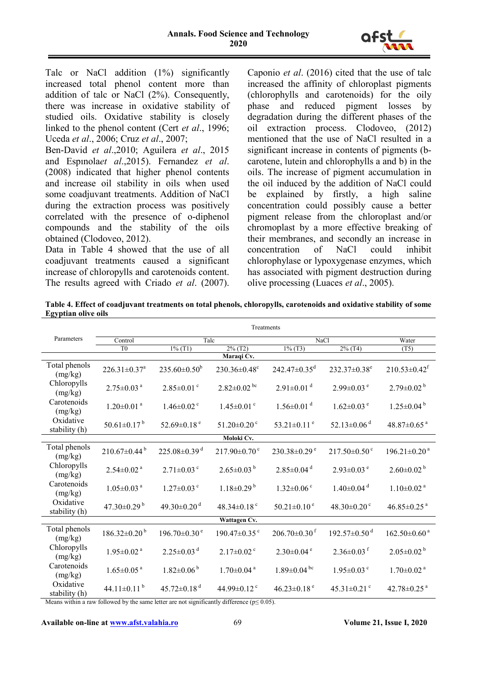

Talc or NaCl addition (1%) significantly increased total phenol content more than addition of talc or NaCl (2%). Consequently, there was increase in oxidative stability of studied oils. Oxidative stability is closely linked to the phenol content (Cert *et al*., 1996; Uceda *et al*., 2006; Cruz *et al*., 2007;

Ben-David *et al*.,2010; Aguilera *et al*., 2015 and Espınola*et al*.,2015). Fernandez *et al*. (2008) indicated that higher phenol contents and increase oil stability in oils when used some coadjuvant treatments. Addition of NaCl during the extraction process was positively correlated with the presence of o-diphenol compounds and the stability of the oils obtained (Clodoveo, 2012).

Data in Table 4 showed that the use of all coadjuvant treatments caused a significant increase of chloropylls and carotenoids content. The results agreed with Criado *et al*. (2007). Caponio *et al*. (2016) cited that the use of talc increased the affinity of chloroplast pigments (chlorophylls and carotenoids) for the oily phase and reduced pigment losses by degradation during the different phases of the oil extraction process. Clodoveo, (2012) mentioned that the use of NaCl resulted in a significant increase in contents of pigments (bcarotene, lutein and chlorophylls a and b) in the oils. The increase of pigment accumulation in the oil induced by the addition of NaCl could be explained by firstly, a high saline concentration could possibly cause a better pigment release from the chloroplast and/or chromoplast by a more effective breaking of their membranes, and secondly an increase in concentration of NaCl could inhibit chlorophylase or lypoxygenase enzymes, which has associated with pigment destruction during olive processing (Luaces *et al*., 2005).

**Table 4. Effect of coadjuvant treatments on total phenols, chloropylls, carotenoids and oxidative stability of some Egyptian olive oils**

|                            | Treatments                     |                                |                                |                                |                                |                                |
|----------------------------|--------------------------------|--------------------------------|--------------------------------|--------------------------------|--------------------------------|--------------------------------|
| Parameters                 | Talc<br>Control                |                                | <b>NaCl</b>                    | Water                          |                                |                                |
|                            | T <sub>0</sub>                 | $1\%$ (T1)                     | 2% (T2)                        | $1\%$ (T3)                     | $2\%$ (T4)                     | (T5)                           |
|                            |                                |                                | Maraqi Cv.                     |                                |                                |                                |
| Total phenols<br>(mg/kg)   | $226.31 \pm 0.37$ <sup>a</sup> | $235.60 \pm 0.50^b$            | $230.36 \pm 0.48$ <sup>c</sup> | $242.47 \pm 0.35$ <sup>d</sup> | 232.37 $\pm$ 0.38 $^{\circ}$   | $210.53 \pm 0.42$ <sup>f</sup> |
| Chloropylls<br>(mg/kg)     | $2.75 \pm 0.03$ <sup>a</sup>   | $2.85 \pm 0.01$ <sup>c</sup>   | $2.82 \pm 0.02$ <sup>bc</sup>  | $2.91 \pm 0.01$ <sup>d</sup>   | $2.99 \pm 0.03$ <sup>e</sup>   | $2.79 \pm 0.02^{\mathrm{b}}$   |
| Carotenoids<br>(mg/kg)     | $1.20 \pm 0.01$ <sup>a</sup>   | $1.46 \pm 0.02$ <sup>c</sup>   | $1.45 \pm 0.01$ <sup>c</sup>   | $1.56 \pm 0.01$ <sup>d</sup>   | $1.62 \pm 0.03$ <sup>e</sup>   | $1.25 \pm 0.04^{\mathrm{b}}$   |
| Oxidative<br>stability (h) | $50.61 \pm 0.17^{\mathrm{b}}$  | 52.69 $\pm$ 0.18 $\degree$     | $51.20 \pm 0.20$ °             | 53.21 $\pm$ 0.11 $\degree$     | 52.13 $\pm$ 0.06 <sup>d</sup>  | 48.87 $\pm$ 0.65 $^{\circ}$    |
|                            |                                |                                | Moloki Cv.                     |                                |                                |                                |
| Total phenols<br>(mg/kg)   | $210.67 \pm 0.44^{\mathrm{b}}$ | $225.08 \pm 0.39$ <sup>d</sup> | $217.90\pm0.70$ <sup>c</sup>   | $230.38\pm0.29$ <sup>e</sup>   | $217.50\pm0.50^{\circ}$        | $196.21 \pm 0.20$ <sup>a</sup> |
| Chloropylls<br>(mg/kg)     | $2.54 \pm 0.02$ <sup>a</sup>   | $2.71 \pm 0.03$ <sup>c</sup>   | $2.65 \pm 0.03^{b}$            | $2.85 \pm 0.04$ <sup>d</sup>   | $2.93 \pm 0.03$ <sup>e</sup>   | $2.60\pm0.02^{\mathrm{b}}$     |
| Carotenoids<br>(mg/kg)     | $1.05 \pm 0.03$ <sup>a</sup>   | $1.27 \pm 0.03$ <sup>c</sup>   | $1.18 \pm 0.29$ <sup>b</sup>   | $1.32 \pm 0.06$ <sup>c</sup>   | $1.40\pm0.04$ <sup>d</sup>     | $1.10 \pm 0.02$ <sup>a</sup>   |
| Oxidative<br>stability (h) | 47.30 $\pm$ 0.29 $^{\rm b}$    | 49.30 $\pm$ 0.20 <sup>d</sup>  | 48.34 $\pm$ 0.18 $\degree$     | $50.21 \pm 0.10^{\circ}$       | 48.30 $\pm$ 0.20 $\degree$     | $46.85 \pm 0.25$ <sup>a</sup>  |
|                            |                                |                                | Wattagen Cv.                   |                                |                                |                                |
| Total phenols<br>(mg/kg)   | $186.32\pm0.20^{\mathrm{b}}$   | $196.70 \pm 0.30$ <sup>e</sup> | 190.47 $\pm$ 0.35 $\degree$    | $206.70 \pm 0.30$ <sup>f</sup> | $192.57 \pm 0.50$ <sup>d</sup> | $162.50\pm0.60$ <sup>a</sup>   |
| Chloropylls<br>(mg/kg)     | $1.95 \pm 0.02$ <sup>a</sup>   | $2.25 \pm 0.03$ <sup>d</sup>   | $2.17 \pm 0.02$ <sup>c</sup>   | $2.30\pm0.04$ <sup>e</sup>     | $2.36 \pm 0.03$ <sup>f</sup>   | $2.05 \pm 0.02^{\mathrm{b}}$   |
| Carotenoids<br>(mg/kg)     | $1.65 \pm 0.05$ <sup>a</sup>   | $1.82 \pm 0.06^{\mathrm{b}}$   | $1.70 \pm 0.04$ <sup>a</sup>   | $1.89 \pm 0.04$ bc             | $1.95 \pm 0.03$ <sup>c</sup>   | $1.70 \pm 0.02$ <sup>a</sup>   |
| Oxidative<br>stability (h) | 44.11±0.11 $^{\rm b}$          | $45.72 \pm 0.18$ <sup>d</sup>  | 44.99 $\pm$ 0.12 $\degree$     | 46.23 $\pm$ 0.18 $^{\circ}$    | 45.31 $\pm$ 0.21 $\degree$     | 42.78 $\pm$ 0.25 $^{a}$        |

Means within a raw followed by the same letter are not significantly difference ( $p \le 0.05$ ).

**Available on-line at [www.afst.valahia.ro](http://www.afst.valahia.ro/)** 69 **Volume 21, Issue I, 2020**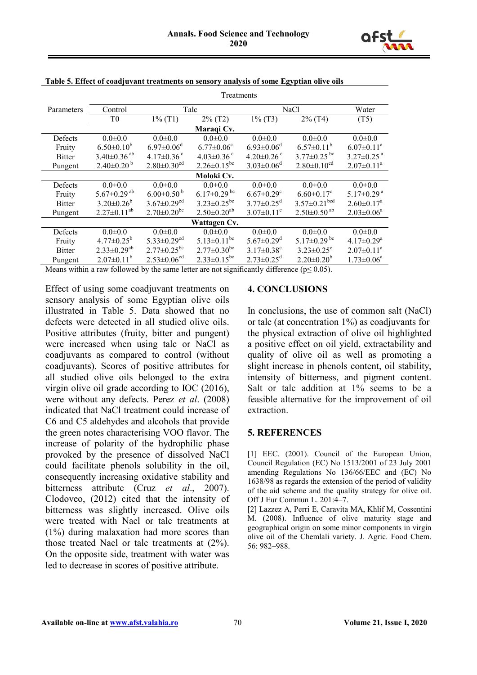

|               | Treatments                    |                               |                               |                              |                                |                              |
|---------------|-------------------------------|-------------------------------|-------------------------------|------------------------------|--------------------------------|------------------------------|
| Parameters    | Control                       | Talc                          |                               | <b>NaCl</b>                  |                                | Water                        |
|               | T0                            | $1\%$ (T1)                    | $2\%$ (T2)                    | $1\%$ (T3)                   | $2\%$ (T4)                     | (T5)                         |
|               |                               |                               | Maraqi Cv.                    |                              |                                |                              |
| Defects       | $0.0 \pm 0.0$                 | $0.0 \pm 0.0$                 | $0.0 + 0.0$                   | $0.0 \pm 0.0$                | $0.0 \pm 0.0$                  | $0.0 \pm 0.0$                |
| Fruity        | $6.50 \pm 0.10^b$             | $6.97 \pm 0.06$ <sup>d</sup>  | $6.77 \pm 0.06$ <sup>c</sup>  | $6.93 \pm 0.06$ <sup>d</sup> | $6.57 \pm 0.11^b$              | $6.07 \pm 0.11$ <sup>a</sup> |
| <b>Bitter</b> | $3.40\pm0.36$ <sup>ab</sup>   | 4.17 $\pm$ 0.36 $\degree$     | $4.03 \pm 0.36$ <sup>c</sup>  | 4.20 $\pm$ 0.26 $\degree$    | $3.77 \pm 0.25$ <sup>bc</sup>  | $3.27 \pm 0.25$ <sup>a</sup> |
| Pungent       | $2.40\pm0.20^{b}$             | $2.80 \pm 0.30$ <sup>cd</sup> | $2.26 \pm 0.15^{bc}$          | $3.03 \pm 0.06$ <sup>d</sup> | $2.80\pm0.10^{cd}$             | $2.07 \pm 0.11^a$            |
|               |                               |                               | Moloki Cv.                    |                              |                                |                              |
| Defects       | $0.0 \pm 0.0$                 | $0.0 \pm 0.0$                 | $0.0 \pm 0.0$                 | $0.0 \pm 0.0$                | $0.0 \pm 0.0$                  | $0.0 \pm 0.0$                |
| Fruity        | 5.67 $\pm$ 0.29 <sup>ab</sup> | $6.00\pm0.50^{b}$             | $6.17 \pm 0.29$ <sup>bc</sup> | $6.67 \pm 0.29$ <sup>c</sup> | $6.60 \pm 0.17$ <sup>c</sup>   | $5.17 \pm 0.29$ <sup>a</sup> |
| <b>Bitter</b> | $3.20 \pm 0.26^b$             | $3.67 \pm 0.29$ <sup>cd</sup> | $3.23 \pm 0.25$ <sup>bc</sup> | $3.77 \pm 0.25$ <sup>d</sup> | $3.57 \pm 0.21$ <sup>bcd</sup> | $2.60 \pm 0.17^a$            |
| Pungent       | $2.27 \pm 0.11^{ab}$          | $2.70 \pm 0.20^{bc}$          | $2.50 \pm 0.20^{ab}$          | $3.07 \pm 0.11$ <sup>c</sup> | $2.50\pm0.50$ <sup>ab</sup>    | $2.03 \pm 0.06^a$            |
| Wattagen Cv.  |                               |                               |                               |                              |                                |                              |
| Defects       | $0.0 \pm 0.0$                 | $0.0 \pm 0.0$                 | $0.0 \pm 0.0$                 | $0.0 \pm 0.0$                | $0.0 \pm 0.0$                  | $0.0 \pm 0.0$                |
| Fruity        | $4.77 \pm 0.25^b$             | $5.33 \pm 0.29$ <sup>cd</sup> | $5.13 \pm 0.11$ <sup>bc</sup> | $5.67 \pm 0.29$ <sup>d</sup> | $5.17 \pm 0.29$ <sup>bc</sup>  | $4.17 \pm 0.29$ <sup>a</sup> |
| <b>Bitter</b> | $2.33 \pm 0.29^{ab}$          | $2.77 \pm 0.25$ <sup>bc</sup> | $2.77 \pm 0.30^{\rm bc}$      | $3.17 \pm 0.38$ <sup>c</sup> | $3.23 \pm 0.25$ <sup>c</sup>   | $2.07 \pm 0.11^a$            |
| Pungent       | $2.07 \pm 0.11^b$             | $2.53 \pm 0.06$ <sup>cd</sup> | $2.33 \pm 0.15^{bc}$          | $2.73 \pm 0.25$ <sup>d</sup> | $2.20 \pm 0.20^b$              | $1.73 \pm 0.06^a$            |

**Table 5. Effect of coadjuvant treatments on sensory analysis of some Egyptian olive oils**

Means within a raw followed by the same letter are not significantly difference ( $p \le 0.05$ ).

Effect of using some coadjuvant treatments on sensory analysis of some Egyptian olive oils illustrated in Table 5. Data showed that no defects were detected in all studied olive oils. Positive attributes (fruity, bitter and pungent) were increased when using talc or NaCl as coadjuvants as compared to control (without coadjuvants). Scores of positive attributes for all studied olive oils belonged to the extra virgin olive oil grade according to IOC (2016), were without any defects. Perez *et al*. (2008) indicated that NaCl treatment could increase of C6 and C5 aldehydes and alcohols that provide the green notes characterising VOO flavor. The increase of polarity of the hydrophilic phase provoked by the presence of dissolved NaCl could facilitate phenols solubility in the oil, consequently increasing oxidative stability and bitterness attribute (Cruz *et al*., 2007). Clodoveo, (2012) cited that the intensity of bitterness was slightly increased. Olive oils were treated with Nacl or talc treatments at (1%) during malaxation had more scores than those treated Nacl or talc treatments at (2%). On the opposite side, treatment with water was led to decrease in scores of positive attribute.

#### **4. CONCLUSIONS**

In conclusions, the use of common salt (NaCl) or talc (at concentration 1%) as coadjuvants for the physical extraction of olive oil highlighted a positive effect on oil yield, extractability and quality of olive oil as well as promoting a slight increase in phenols content, oil stability, intensity of bitterness, and pigment content. Salt or talc addition at 1% seems to be a feasible alternative for the improvement of oil extraction.

#### **5. REFERENCES**

[1] EEC. (2001). Council of the European Union, Council Regulation (EC) No 1513/2001 of 23 July 2001 amending Regulations No 136/66/EEC and (EC) No 1638/98 as regards the extension of the period of validity of the aid scheme and the quality strategy for olive oil. Off J Eur Commun L. 201:4–7.

[2] Lazzez A, Perri E, Caravita MA, Khlif M, Cossentini M. (2008). Influence of olive maturity stage and geographical origin on some minor components in virgin olive oil of the Chemlali variety. J. Agric. Food Chem. 56: 982–988.